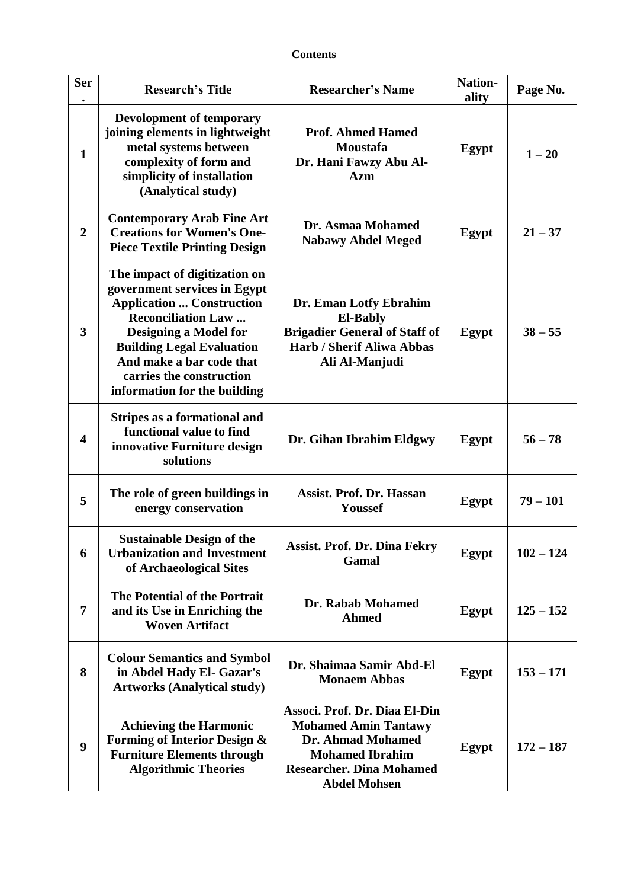## **Contents**

| <b>Ser</b>              | <b>Research's Title</b>                                                                                                                                                                                                                                                                    | <b>Researcher's Name</b>                                                                                                                                              | Nation-<br>ality | Page No.    |
|-------------------------|--------------------------------------------------------------------------------------------------------------------------------------------------------------------------------------------------------------------------------------------------------------------------------------------|-----------------------------------------------------------------------------------------------------------------------------------------------------------------------|------------------|-------------|
| $\mathbf{1}$            | Devolopment of temporary<br>joining elements in lightweight<br>metal systems between<br>complexity of form and<br>simplicity of installation<br>(Analytical study)                                                                                                                         | <b>Prof. Ahmed Hamed</b><br>Moustafa<br>Dr. Hani Fawzy Abu Al-<br><b>Azm</b>                                                                                          | Egypt            | $1 - 20$    |
| $\boldsymbol{2}$        | <b>Contemporary Arab Fine Art</b><br><b>Creations for Women's One-</b><br><b>Piece Textile Printing Design</b>                                                                                                                                                                             | Dr. Asmaa Mohamed<br><b>Nabawy Abdel Meged</b>                                                                                                                        | Egypt            | $21 - 37$   |
| $\overline{\mathbf{3}}$ | The impact of digitization on<br>government services in Egypt<br><b>Application  Construction</b><br><b>Reconciliation Law</b><br><b>Designing a Model for</b><br><b>Building Legal Evaluation</b><br>And make a bar code that<br>carries the construction<br>information for the building | Dr. Eman Lotfy Ebrahim<br><b>El-Bably</b><br><b>Brigadier General of Staff of</b><br><b>Harb / Sherif Aliwa Abbas</b><br>Ali Al-Manjudi                               | Egypt            | $38 - 55$   |
| $\overline{\mathbf{4}}$ | Stripes as a formational and<br>functional value to find<br>innovative Furniture design<br>solutions                                                                                                                                                                                       | Dr. Gihan Ibrahim Eldgwy                                                                                                                                              | Egypt            | $56 - 78$   |
| 5                       | The role of green buildings in<br>energy conservation                                                                                                                                                                                                                                      | <b>Assist. Prof. Dr. Hassan</b><br>Youssef                                                                                                                            | Egypt            | $79 - 101$  |
| 6                       | <b>Sustainable Design of the</b><br><b>Urbanization and Investment</b><br>of Archaeological Sites                                                                                                                                                                                          | <b>Assist. Prof. Dr. Dina Fekry</b><br>Gamal                                                                                                                          | Egypt            | $102 - 124$ |
| 7                       | The Potential of the Portrait<br>and its Use in Enriching the<br><b>Woven Artifact</b>                                                                                                                                                                                                     | Dr. Rabab Mohamed<br><b>Ahmed</b>                                                                                                                                     | <b>Egypt</b>     | $125 - 152$ |
| 8                       | <b>Colour Semantics and Symbol</b><br>in Abdel Hady El- Gazar's<br><b>Artworks (Analytical study)</b>                                                                                                                                                                                      | Dr. Shaimaa Samir Abd-El<br><b>Monaem Abbas</b>                                                                                                                       | Egypt            | $153 - 171$ |
| 9                       | <b>Achieving the Harmonic</b><br>Forming of Interior Design &<br><b>Furniture Elements through</b><br><b>Algorithmic Theories</b>                                                                                                                                                          | Associ. Prof. Dr. Diaa El-Din<br><b>Mohamed Amin Tantawy</b><br>Dr. Ahmad Mohamed<br><b>Mohamed Ibrahim</b><br><b>Researcher. Dina Mohamed</b><br><b>Abdel Mohsen</b> | Egypt            | $172 - 187$ |